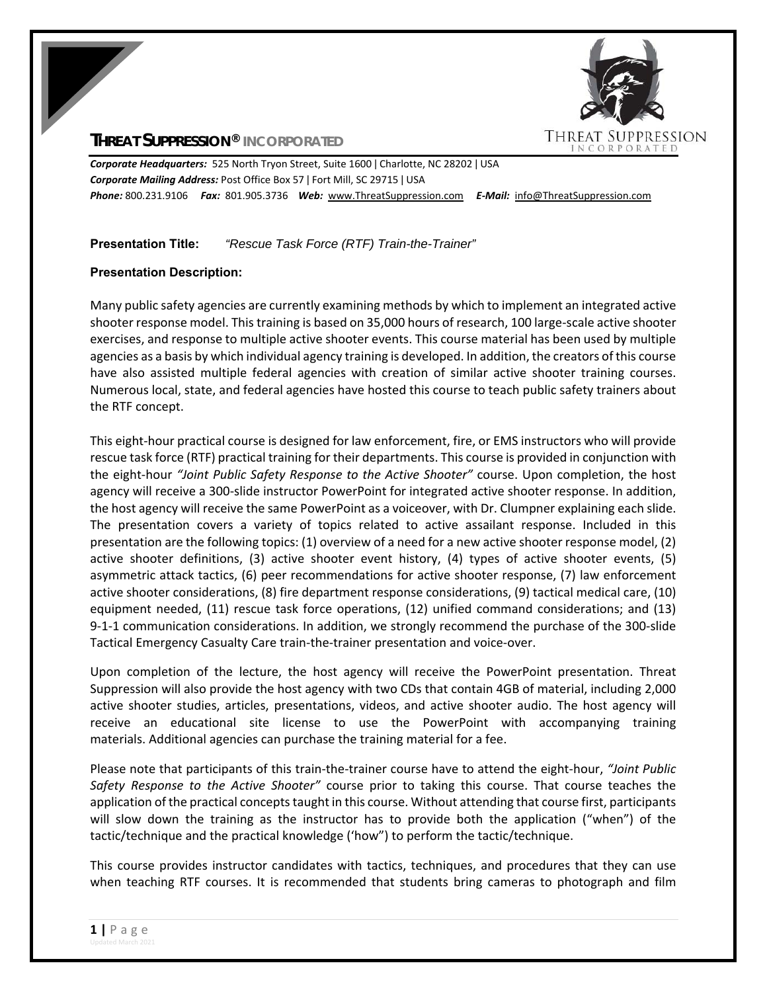# **THREAT SUPPRESSION® INCORPORATED**



*Corporate Headquarters:* 525 North Tryon Street, Suite 1600 ǀ Charlotte, NC 28202 ǀ USA *Corporate Mailing Address:* Post Office Box 57 ǀ Fort Mill, SC 29715 ǀ USA *Phone:* 800.231.9106  *Fax:* 801.905.3736 *Web:* www.ThreatSuppression.com *E‐Mail:*  info@ThreatSuppression.com

**Presentation Title:** *"Rescue Task Force (RTF) Train-the-Trainer"* 

# **Presentation Description:**

Many public safety agencies are currently examining methods by which to implement an integrated active shooter response model. This training is based on 35,000 hours of research, 100 large-scale active shooter exercises, and response to multiple active shooter events. This course material has been used by multiple agencies as a basis by which individual agency training is developed. In addition, the creators of this course have also assisted multiple federal agencies with creation of similar active shooter training courses. Numerous local, state, and federal agencies have hosted this course to teach public safety trainers about the RTF concept.

This eight-hour practical course is designed for law enforcement, fire, or EMS instructors who will provide rescue task force (RTF) practical training for their departments. This course is provided in conjunction with the eight-hour "Joint Public Safety Response to the Active Shooter" course. Upon completion, the host agency will receive a 300‐slide instructor PowerPoint for integrated active shooter response. In addition, the host agency will receive the same PowerPoint as a voiceover, with Dr. Clumpner explaining each slide. The presentation covers a variety of topics related to active assailant response. Included in this presentation are the following topics: (1) overview of a need for a new active shooter response model, (2) active shooter definitions, (3) active shooter event history, (4) types of active shooter events, (5) asymmetric attack tactics, (6) peer recommendations for active shooter response, (7) law enforcement active shooter considerations, (8) fire department response considerations, (9) tactical medical care, (10) equipment needed, (11) rescue task force operations, (12) unified command considerations; and (13) 9-1-1 communication considerations. In addition, we strongly recommend the purchase of the 300-slide Tactical Emergency Casualty Care train‐the‐trainer presentation and voice‐over.

Upon completion of the lecture, the host agency will receive the PowerPoint presentation. Threat Suppression will also provide the host agency with two CDs that contain 4GB of material, including 2,000 active shooter studies, articles, presentations, videos, and active shooter audio. The host agency will receive an educational site license to use the PowerPoint with accompanying training materials. Additional agencies can purchase the training material for a fee.

Please note that participants of this train‐the‐trainer course have to attend the eight‐hour, *"Joint Public Safety Response to the Active Shooter"* course prior to taking this course. That course teaches the application of the practical concepts taught in this course. Without attending that course first, participants will slow down the training as the instructor has to provide both the application ("when") of the tactic/technique and the practical knowledge ('how") to perform the tactic/technique.

This course provides instructor candidates with tactics, techniques, and procedures that they can use when teaching RTF courses. It is recommended that students bring cameras to photograph and film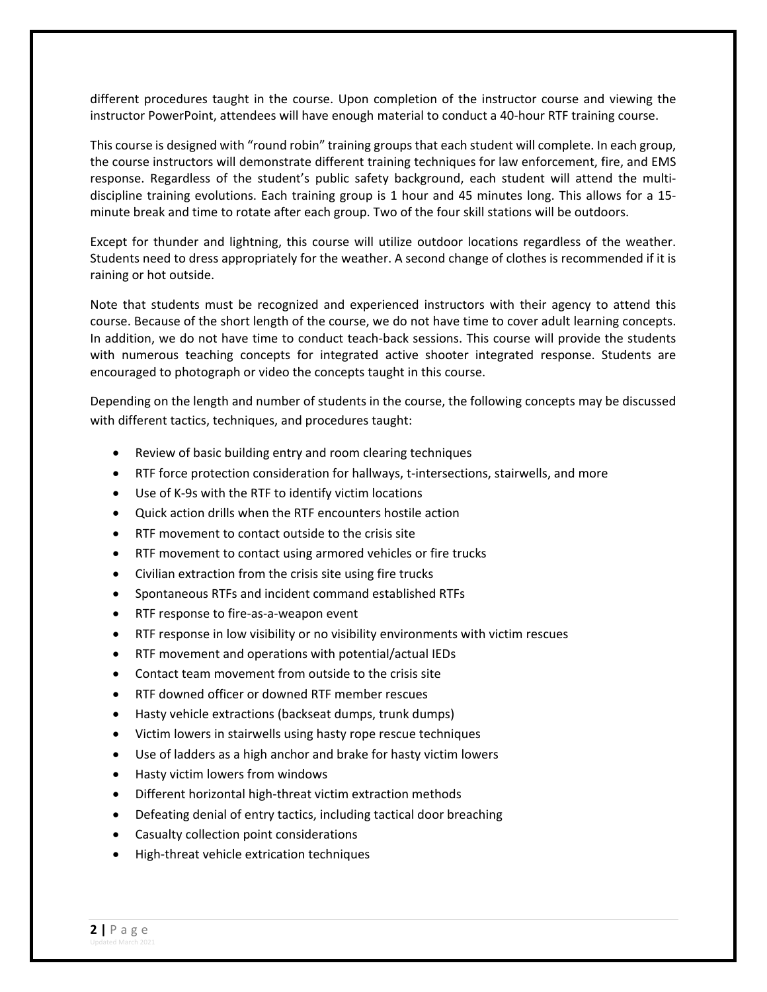different procedures taught in the course. Upon completion of the instructor course and viewing the instructor PowerPoint, attendees will have enough material to conduct a 40‐hour RTF training course.

This course is designed with "round robin" training groups that each student will complete. In each group, the course instructors will demonstrate different training techniques for law enforcement, fire, and EMS response. Regardless of the student's public safety background, each student will attend the multidiscipline training evolutions. Each training group is 1 hour and 45 minutes long. This allows for a 15‐ minute break and time to rotate after each group. Two of the four skill stations will be outdoors.

Except for thunder and lightning, this course will utilize outdoor locations regardless of the weather. Students need to dress appropriately for the weather. A second change of clothes is recommended if it is raining or hot outside.

Note that students must be recognized and experienced instructors with their agency to attend this course. Because of the short length of the course, we do not have time to cover adult learning concepts. In addition, we do not have time to conduct teach-back sessions. This course will provide the students with numerous teaching concepts for integrated active shooter integrated response. Students are encouraged to photograph or video the concepts taught in this course.

Depending on the length and number of students in the course, the following concepts may be discussed with different tactics, techniques, and procedures taught:

- Review of basic building entry and room clearing techniques
- RTF force protection consideration for hallways, t-intersections, stairwells, and more
- Use of K‐9s with the RTF to identify victim locations
- Quick action drills when the RTF encounters hostile action
- RTF movement to contact outside to the crisis site
- RTF movement to contact using armored vehicles or fire trucks
- Civilian extraction from the crisis site using fire trucks
- Spontaneous RTFs and incident command established RTFs
- RTF response to fire-as-a-weapon event
- RTF response in low visibility or no visibility environments with victim rescues
- RTF movement and operations with potential/actual IEDs
- Contact team movement from outside to the crisis site
- RTF downed officer or downed RTF member rescues
- Hasty vehicle extractions (backseat dumps, trunk dumps)
- Victim lowers in stairwells using hasty rope rescue techniques
- Use of ladders as a high anchor and brake for hasty victim lowers
- Hasty victim lowers from windows
- Different horizontal high-threat victim extraction methods
- Defeating denial of entry tactics, including tactical door breaching
- Casualty collection point considerations
- High-threat vehicle extrication techniques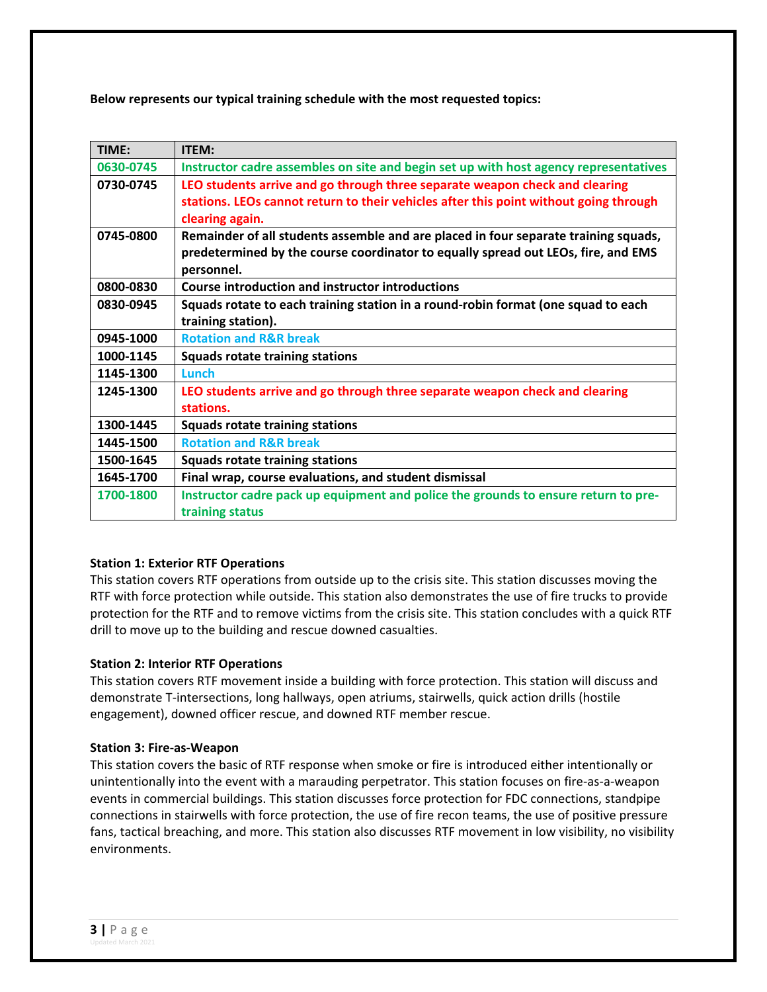**Below represents our typical training schedule with the most requested topics:** 

| TIME:     | ITEM:                                                                                                                                                                                   |
|-----------|-----------------------------------------------------------------------------------------------------------------------------------------------------------------------------------------|
| 0630-0745 | Instructor cadre assembles on site and begin set up with host agency representatives                                                                                                    |
| 0730-0745 | LEO students arrive and go through three separate weapon check and clearing<br>stations. LEOs cannot return to their vehicles after this point without going through<br>clearing again. |
| 0745-0800 | Remainder of all students assemble and are placed in four separate training squads,<br>predetermined by the course coordinator to equally spread out LEOs, fire, and EMS<br>personnel.  |
| 0800-0830 | <b>Course introduction and instructor introductions</b>                                                                                                                                 |
| 0830-0945 | Squads rotate to each training station in a round-robin format (one squad to each<br>training station).                                                                                 |
| 0945-1000 | <b>Rotation and R&amp;R break</b>                                                                                                                                                       |
| 1000-1145 | <b>Squads rotate training stations</b>                                                                                                                                                  |
| 1145-1300 | Lunch                                                                                                                                                                                   |
| 1245-1300 | LEO students arrive and go through three separate weapon check and clearing<br>stations.                                                                                                |
| 1300-1445 | <b>Squads rotate training stations</b>                                                                                                                                                  |
| 1445-1500 | <b>Rotation and R&amp;R break</b>                                                                                                                                                       |
| 1500-1645 | <b>Squads rotate training stations</b>                                                                                                                                                  |
| 1645-1700 | Final wrap, course evaluations, and student dismissal                                                                                                                                   |
| 1700-1800 | Instructor cadre pack up equipment and police the grounds to ensure return to pre-<br>training status                                                                                   |

## **Station 1: Exterior RTF Operations**

This station covers RTF operations from outside up to the crisis site. This station discusses moving the RTF with force protection while outside. This station also demonstrates the use of fire trucks to provide protection for the RTF and to remove victims from the crisis site. This station concludes with a quick RTF drill to move up to the building and rescue downed casualties.

#### **Station 2: Interior RTF Operations**

This station covers RTF movement inside a building with force protection. This station will discuss and demonstrate T‐intersections, long hallways, open atriums, stairwells, quick action drills (hostile engagement), downed officer rescue, and downed RTF member rescue.

#### **Station 3: Fire‐as‐Weapon**

This station covers the basic of RTF response when smoke or fire is introduced either intentionally or unintentionally into the event with a marauding perpetrator. This station focuses on fire‐as‐a‐weapon events in commercial buildings. This station discusses force protection for FDC connections, standpipe connections in stairwells with force protection, the use of fire recon teams, the use of positive pressure fans, tactical breaching, and more. This station also discusses RTF movement in low visibility, no visibility environments.